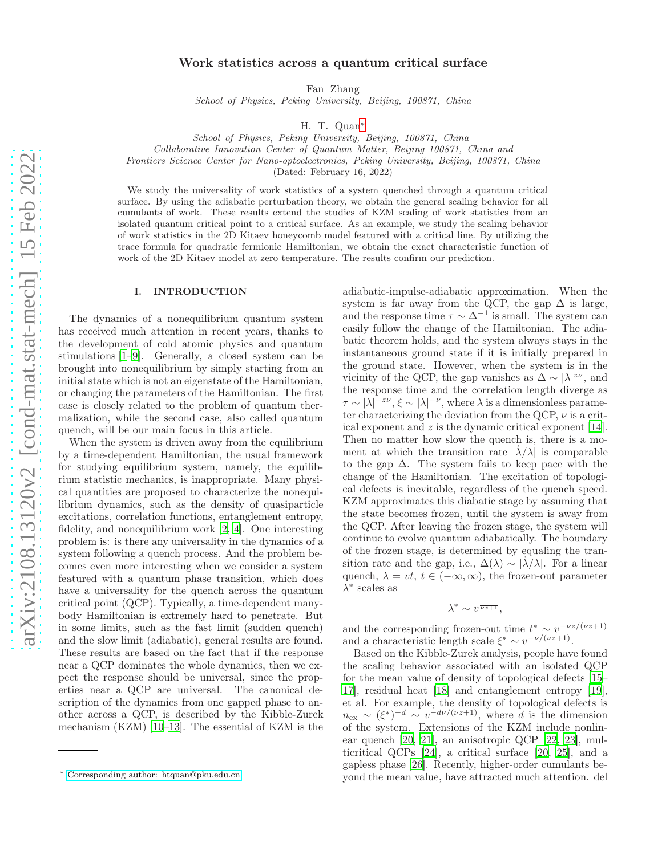# Work statistics across a quantum critical surface

Fan Zhang

School of Physics, Peking University, Beijing, 100871, China

H. T. Quan[∗](#page-0-0)

School of Physics, Peking University, Beijing, 100871, China

Collaborative Innovation Center of Quantum Matter, Beijing 100871, China and

Frontiers Science Center for Nano-optoelectronics, Peking University, Beijing, 100871, China

(Dated: February 16, 2022)

We study the universality of work statistics of a system quenched through a quantum critical surface. By using the adiabatic perturbation theory, we obtain the general scaling behavior for all cumulants of work. These results extend the studies of KZM scaling of work statistics from an isolated quantum critical point to a critical surface. As an example, we study the scaling behavior of work statistics in the 2D Kitaev honeycomb model featured with a critical line. By utilizing the trace formula for quadratic fermionic Hamiltonian, we obtain the exact characteristic function of work of the 2D Kitaev model at zero temperature. The results confirm our prediction.

### I. INTRODUCTION

The dynamics of a nonequilibrium quantum system has received much attention in recent years, thanks to the development of cold atomic physics and quantum stimulations [\[1](#page-7-0)[–9\]](#page-7-1). Generally, a closed system can be brought into nonequilibrium by simply starting from an initial state which is not an eigenstate of the Hamiltonian, or changing the parameters of the Hamiltonian. The first case is closely related to the problem of quantum thermalization, while the second case, also called quantum quench, will be our main focus in this article.

When the system is driven away from the equilibrium by a time-dependent Hamiltonian, the usual framework for studying equilibrium system, namely, the equilibrium statistic mechanics, is inappropriate. Many physical quantities are proposed to characterize the nonequilibrium dynamics, such as the density of quasiparticle excitations, correlation functions, entanglement entropy, fidelity, and nonequilibrium work [\[2](#page-7-2), [4\]](#page-7-3). One interesting problem is: is there any universality in the dynamics of a system following a quench process. And the problem becomes even more interesting when we consider a system featured with a quantum phase transition, which does have a universality for the quench across the quantum critical point (QCP). Typically, a time-dependent manybody Hamiltonian is extremely hard to penetrate. But in some limits, such as the fast limit (sudden quench) and the slow limit (adiabatic), general results are found. These results are based on the fact that if the response near a QCP dominates the whole dynamics, then we expect the response should be universal, since the properties near a QCP are universal. The canonical description of the dynamics from one gapped phase to another across a QCP, is described by the Kibble-Zurek mechanism (KZM) [\[10](#page-7-4)[–13\]](#page-7-5). The essential of KZM is the

adiabatic-impulse-adiabatic approximation. When the system is far away from the QCP, the gap  $\Delta$  is large, and the response time  $\tau \sim \Delta^{-1}$  is small. The system can easily follow the change of the Hamiltonian. The adiabatic theorem holds, and the system always stays in the instantaneous ground state if it is initially prepared in the ground state. However, when the system is in the vicinity of the QCP, the gap vanishes as  $\Delta \sim |\lambda|^{z\nu}$ , and the response time and the correlation length diverge as  $\tau \sim |\lambda|^{-z\nu}, \xi \sim |\lambda|^{-\nu}$ , where  $\lambda$  is a dimensionless parameter characterizing the deviation from the QCP,  $\nu$  is a critical exponent and z is the dynamic critical exponent [\[14\]](#page-7-6). Then no matter how slow the quench is, there is a moment at which the transition rate  $|\lambda/\lambda|$  is comparable to the gap  $\Delta$ . The system fails to keep pace with the change of the Hamiltonian. The excitation of topological defects is inevitable, regardless of the quench speed. KZM approximates this diabatic stage by assuming that the state becomes frozen, until the system is away from the QCP. After leaving the frozen stage, the system will continue to evolve quantum adiabatically. The boundary of the frozen stage, is determined by equaling the transition rate and the gap, i.e.,  $\Delta(\lambda) \sim |\lambda/\lambda|$ . For a linear quench,  $\lambda = vt$ ,  $t \in (-\infty, \infty)$ , the frozen-out parameter  $\lambda^*$  scales as

$$
\lambda^* \sim v^{\frac{1}{\nu z + 1}},
$$

and the corresponding frozen-out time  $t^* \sim v^{-\nu z/(\nu z+1)}$ and a characteristic length scale  $\xi^* \sim v^{-\nu/(\nu z+1)}$ .

Based on the Kibble-Zurek analysis, people have found the scaling behavior associated with an isolated QCP for the mean value of density of topological defects [\[15](#page-7-7)– [17](#page-7-8)], residual heat [\[18\]](#page-7-9) and entanglement entropy [\[19\]](#page-7-10), et al. For example, the density of topological defects is  $n_{\text{ex}} \sim (\xi^*)^{-d} \sim v^{-d\nu/(\nu z+1)}$ , where d is the dimension of the system. Extensions of the KZM include nonlinear quench [\[20](#page-7-11), [21](#page-7-12)], an anisotropic QCP [\[22](#page-7-13), [23](#page-7-14)], multicritical QCPs [\[24\]](#page-7-15), a critical surface [\[20](#page-7-11), [25](#page-7-16)], and a gapless phase [\[26\]](#page-7-17). Recently, higher-order cumulants beyond the mean value, have attracted much attention. del

<span id="page-0-0"></span><sup>∗</sup> [Corresponding author: htquan@pku.edu.cn](mailto:Corresponding author: htquan@pku.edu.cn)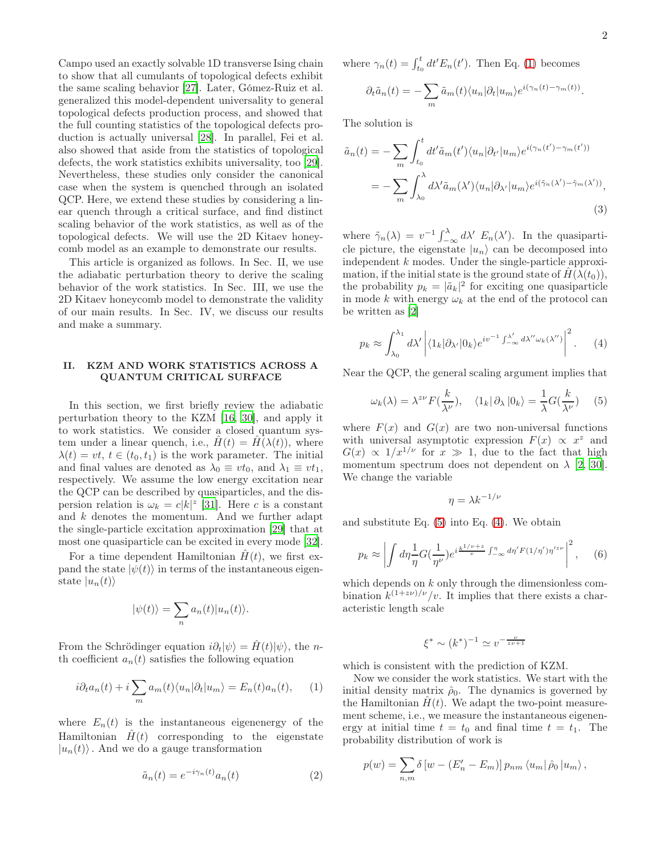where  $\gamma_n(t) = \int_{t_0}^t dt' E_n(t')$ . Then Eq. [\(1\)](#page-1-0) becomes  $\sum$ 

$$
\partial_t \tilde{a}_n(t) = -\sum_m \tilde{a}_m(t) \langle u_n | \partial_t | u_m \rangle e^{i(\gamma_n(t) - \gamma_m(t))}
$$

The solution is

$$
\tilde{a}_n(t) = -\sum_m \int_{t_0}^t dt' \tilde{a}_m(t') \langle u_n | \partial_{t'} | u_m \rangle e^{i(\gamma_n(t') - \gamma_m(t'))}
$$

$$
= -\sum_m \int_{\lambda_0}^{\lambda} d\lambda' \tilde{a}_m(\lambda') \langle u_n | \partial_{\lambda'} | u_m \rangle e^{i(\tilde{\gamma}_n(\lambda') - \tilde{\gamma}_m(\lambda'))},
$$
\n(3)

where  $\tilde{\gamma}_n(\lambda) = v^{-1} \int_{-\infty}^{\lambda} d\lambda' E_n(\lambda')$ . In the quasiparticle picture, the eigenstate  $|u_n\rangle$  can be decomposed into independent k modes. Under the single-particle approximation, if the initial state is the ground state of  $H(\lambda(t_0)),$ the probability  $p_k = |\tilde{a}_k|^2$  for exciting one quasiparticle in mode k with energy  $\omega_k$  at the end of the protocol can be written as [\[2\]](#page-7-2)

<span id="page-1-2"></span>
$$
p_k \approx \int_{\lambda_0}^{\lambda_1} d\lambda' \left| \langle 1_k | \partial_{\lambda'} | 0_k \rangle e^{iv^{-1} \int_{-\infty}^{\lambda'} d\lambda'' \omega_k(\lambda'')} \right|^2.
$$
 (4)

Near the QCP, the general scaling argument implies that

<span id="page-1-1"></span>
$$
\omega_k(\lambda) = \lambda^{z\nu} F(\frac{k}{\lambda^{\nu}}), \quad \langle 1_k | \partial_{\lambda} | 0_k \rangle = \frac{1}{\lambda} G(\frac{k}{\lambda^{\nu}})
$$
(5)

where  $F(x)$  and  $G(x)$  are two non-universal functions with universal asymptotic expression  $F(x) \propto x^2$  and  $G(x) \propto 1/x^{1/\nu}$  for  $x \gg 1$ , due to the fact that high momentum spectrum does not dependent on  $\lambda$  [\[2,](#page-7-2) [30\]](#page-7-22). We change the variable

$$
\eta = \lambda k^{-1/\nu}
$$

and substitute Eq. [\(5\)](#page-1-1) into Eq. [\(4\)](#page-1-2). We obtain

$$
p_k \approx \left| \int d\eta \frac{1}{\eta} G(\frac{1}{\eta^{\nu}}) e^{i \frac{k^{1/\nu + z}}{v} \int_{-\infty}^{\eta} d\eta' F(1/\eta') \eta'^{z\nu}} \right|^2, \quad (6)
$$

which depends on k only through the dimensionless combination  $k^{(1+z\nu)/\nu}/v$ . It implies that there exists a characteristic length scale

$$
\xi^* \sim (k^*)^{-1} \simeq v^{-\frac{\nu}{z\nu+1}}
$$

which is consistent with the prediction of KZM.

Now we consider the work statistics. We start with the initial density matrix  $\hat{\rho}_0$ . The dynamics is governed by the Hamiltonian  $H(t)$ . We adapt the two-point measurement scheme, i.e., we measure the instantaneous eigenenergy at initial time  $t = t_0$  and final time  $t = t_1$ . The probability distribution of work is

$$
p(w) = \sum_{n,m} \delta \left[ w - \left( E'_n - E_m \right) \right] p_{nm} \left\langle u_m \right| \hat{\rho}_0 \left| u_m \right\rangle,
$$

Campo used an exactly solvable 1D transverse Ising chain to show that all cumulants of topological defects exhibit the same scaling behavior [\[27](#page-7-18)]. Later, Gómez-Ruiz et al. generalized this model-dependent universality to general topological defects production process, and showed that the full counting statistics of the topological defects production is actually universal [\[28](#page-7-19)]. In parallel, Fei et al. also showed that aside from the statistics of topological defects, the work statistics exhibits universality, too [\[29\]](#page-7-20). Nevertheless, these studies only consider the canonical case when the system is quenched through an isolated QCP. Here, we extend these studies by considering a linear quench through a critical surface, and find distinct scaling behavior of the work statistics, as well as of the topological defects. We will use the 2D Kitaev honeycomb model as an example to demonstrate our results.

This article is organized as follows. In Sec. II, we use the adiabatic perturbation theory to derive the scaling behavior of the work statistics. In Sec. III, we use the 2D Kitaev honeycomb model to demonstrate the validity of our main results. In Sec. IV, we discuss our results and make a summary.

## II. KZM AND WORK STATISTICS ACROSS A QUANTUM CRITICAL SURFACE

In this section, we first briefly review the adiabatic perturbation theory to the KZM [\[16,](#page-7-21) [30\]](#page-7-22), and apply it to work statistics. We consider a closed quantum system under a linear quench, i.e.,  $H(t) = H(\lambda(t))$ , where  $\lambda(t) = vt, t \in (t_0, t_1)$  is the work parameter. The initial and final values are denoted as  $\lambda_0 \equiv vt_0$ , and  $\lambda_1 \equiv vt_1$ , respectively. We assume the low energy excitation near the QCP can be described by quasiparticles, and the dispersion relation is  $\omega_k = c|k|^z$  [\[31](#page-7-23)]. Here c is a constant and k denotes the momentum. And we further adapt the single-particle excitation approximation [\[29\]](#page-7-20) that at most one quasiparticle can be excited in every mode [\[32\]](#page-7-24).

For a time dependent Hamiltonian  $H(t)$ , we first expand the state  $|\psi(t)\rangle$  in terms of the instantaneous eigenstate  $|u_n(t)\rangle$ 

$$
|\psi(t)\rangle = \sum_{n} a_n(t) |u_n(t)\rangle.
$$

From the Schrödinger equation  $i\partial_t|\psi\rangle = \hat{H}(t)|\psi\rangle$ , the *n*th coefficient  $a_n(t)$  satisfies the following equation

<span id="page-1-0"></span>
$$
i\partial_t a_n(t) + i \sum_m a_m(t) \langle u_n | \partial_t | u_m \rangle = E_n(t) a_n(t), \qquad (1)
$$

where  $E_n(t)$  is the instantaneous eigenenergy of the Hamiltonian  $\hat{H}(t)$  corresponding to the eigenstate  $|u_n(t)\rangle$ . And we do a gauge transformation

$$
\tilde{a}_n(t) = e^{-i\gamma_n(t)} a_n(t) \tag{2}
$$

.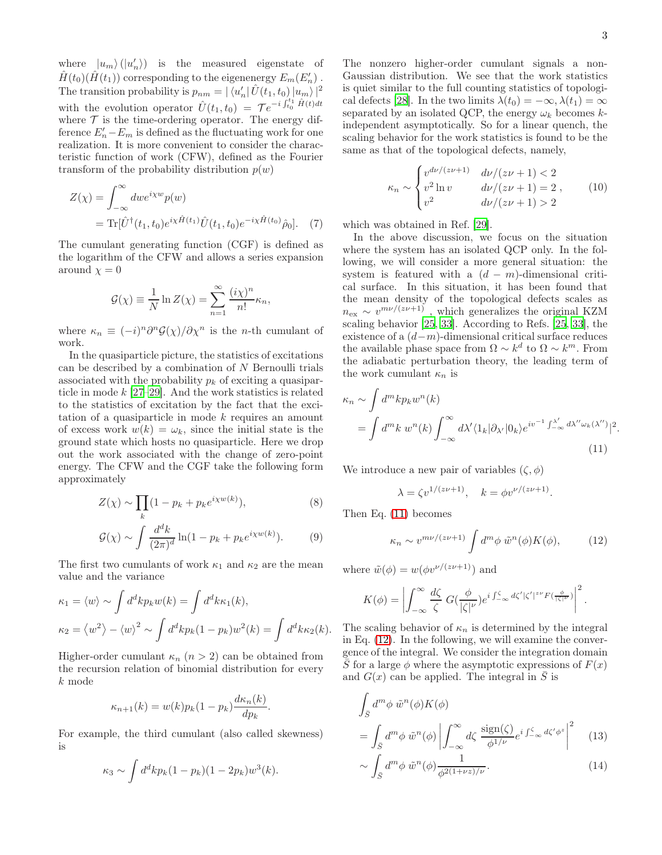<span id="page-2-0"></span>.

where  $\langle u_m \rangle (\langle u'_n \rangle)$  is the measured eigenstate of  $\hat{H}(t_0)(\hat{H}(t_1))$  corresponding to the eigenenergy  $E_m(E'_n)$ . The transition probability is  $p_{nm} = |\langle u'_n | \hat{U}(t_1, t_0) | u_m \rangle|^2$ with the evolution operator  $\hat{U}(t_1,t_0) = \mathcal{T} e^{-i \int_{t_0}^{t_1} \hat{H}(t) dt}$ where  $\mathcal T$  is the time-ordering operator. The energy difference  $E'_n - E_m$  is defined as the fluctuating work for one realization. It is more convenient to consider the characteristic function of work (CFW), defined as the Fourier transform of the probability distribution  $p(w)$ 

$$
Z(\chi) = \int_{-\infty}^{\infty} dw e^{i\chi w} p(w)
$$
  
= Tr[ $\hat{U}^{\dagger}(t_1, t_0) e^{i\chi \hat{H}(t_1)} \hat{U}(t_1, t_0) e^{-i\chi \hat{H}(t_0)} \hat{\rho}_0].$  (7)

The cumulant generating function (CGF) is defined as the logarithm of the CFW and allows a series expansion around  $\chi = 0$ 

$$
\mathcal{G}(\chi) \equiv \frac{1}{N} \ln Z(\chi) = \sum_{n=1}^{\infty} \frac{(i\chi)^n}{n!} \kappa_n,
$$

where  $\kappa_n \equiv (-i)^n \partial^n \mathcal{G}(\chi) / \partial \chi^n$  is the *n*-th cumulant of work.

In the quasiparticle picture, the statistics of excitations can be described by a combination of  $N$  Bernoulli trials associated with the probability  $p_k$  of exciting a quasiparticle in mode  $k$  [\[27](#page-7-18)[–29\]](#page-7-20). And the work statistics is related to the statistics of excitation by the fact that the excitation of a quasiparticle in mode  $k$  requires an amount of excess work  $w(k) = \omega_k$ , since the initial state is the ground state which hosts no quasiparticle. Here we drop out the work associated with the change of zero-point energy. The CFW and the CGF take the following form approximately

$$
Z(\chi) \sim \prod_{k} (1 - p_k + p_k e^{i\chi w(k)}), \tag{8}
$$

$$
\mathcal{G}(\chi) \sim \int \frac{d^d k}{(2\pi)^d} \ln(1 - p_k + p_k e^{i\chi w(k)}).
$$
 (9)

The first two cumulants of work  $\kappa_1$  and  $\kappa_2$  are the mean value and the variance

$$
\kappa_1 = \langle w \rangle \sim \int d^d k p_k w(k) = \int d^d k \kappa_1(k),
$$
  

$$
\kappa_2 = \langle w^2 \rangle - \langle w \rangle^2 \sim \int d^d k p_k (1 - p_k) w^2(k) = \int d^d k \kappa_2(k).
$$

Higher-order cumulant  $\kappa_n$   $(n > 2)$  can be obtained from the recursion relation of binomial distribution for every k mode

$$
\kappa_{n+1}(k) = w(k)p_k(1-p_k)\frac{d\kappa_n(k)}{dp_k}.
$$

For example, the third cumulant (also called skewness) is

$$
\kappa_3 \sim \int d^d k p_k (1-p_k)(1-2p_k) w^3(k).
$$

The nonzero higher-order cumulant signals a non-Gaussian distribution. We see that the work statistics is quiet similar to the full counting statistics of topologi-cal defects [\[28](#page-7-19)]. In the two limits  $\lambda(t_0) = -\infty, \lambda(t_1) = \infty$ separated by an isolated QCP, the energy  $\omega_k$  becomes kindependent asymptotically. So for a linear quench, the scaling behavior for the work statistics is found to be the same as that of the topological defects, namely,

<span id="page-2-3"></span>
$$
\kappa_n \sim \begin{cases} v^{d\nu/(z\nu+1)} & d\nu/(z\nu+1) < 2\\ v^2 \ln v & d\nu/(z\nu+1) = 2\\ v^2 & d\nu/(z\nu+1) > 2 \end{cases}
$$
 (10)

<span id="page-2-4"></span>which was obtained in Ref. [\[29](#page-7-20)].

In the above discussion, we focus on the situation where the system has an isolated QCP only. In the following, we will consider a more general situation: the system is featured with a  $(d - m)$ -dimensional critical surface. In this situation, it has been found that the mean density of the topological defects scales as  $n_{\text{ex}} \sim v^{m\nu/(z\nu+1)}$ , which generalizes the original KZM scaling behavior [\[25](#page-7-16), [33](#page-8-0)]. According to Refs. [\[25,](#page-7-16) [33\]](#page-8-0), the existence of a  $(d-m)$ -dimensional critical surface reduces the available phase space from  $\Omega \sim k^d$  to  $\Omega \sim k^m$ . From the adiabatic perturbation theory, the leading term of the work cumulant  $\kappa_n$  is

$$
\kappa_n \sim \int d^m k p_k w^n(k)
$$
  
= 
$$
\int d^m k w^n(k) \int_{-\infty}^{\infty} d\lambda' \langle 1_k | \partial_{\lambda'} | 0_k \rangle e^{iv^{-1} \int_{-\infty}^{\lambda'} d\lambda'' \omega_k(\lambda'')} |^2
$$
  
(11)

We introduce a new pair of variables  $(\zeta, \phi)$ 

$$
\lambda = \zeta v^{1/(z\nu+1)}, \quad k = \phi v^{\nu/(z\nu+1)}.
$$

Then Eq. [\(11\)](#page-2-0) becomes

<span id="page-2-1"></span>
$$
\kappa_n \sim v^{m\nu/(z\nu+1)} \int d^m \phi \ \tilde{w}^n(\phi) K(\phi), \tag{12}
$$

where  $\tilde{w}(\phi) = w(\phi v^{\nu/(z\nu+1)})$  and

$$
K(\phi) = \left| \int_{-\infty}^{\infty} \frac{d\zeta}{\zeta} G(\frac{\phi}{|\zeta|^{\nu}}) e^{i \int_{-\infty}^{\zeta} d\zeta' |\zeta'|^{z\nu} F(\frac{\phi}{|\zeta|^{\nu}})} \right|^2.
$$

The scaling behavior of  $\kappa_n$  is determined by the integral in Eq. [\(12\)](#page-2-1). In the following, we will examine the convergence of the integral. We consider the integration domain  $\overline{S}$  for a large  $\phi$  where the asymptotic expressions of  $F(x)$ and  $G(x)$  can be applied. The integral in  $\overline{S}$  is

$$
\int_{\bar{S}} d^m \phi \, \tilde{w}^n(\phi) K(\phi)
$$
\n
$$
= \int_{\bar{S}} d^m \phi \, \tilde{w}^n(\phi) \left| \int_{-\infty}^{\infty} d\zeta \, \frac{\text{sign}(\zeta)}{\phi^{1/\nu}} e^{i \int_{-\infty}^{\zeta} d\zeta' \phi^z} \right|^2 \tag{13}
$$

<span id="page-2-2"></span>
$$
\sim \int_{\bar{S}} d^m \phi \ \tilde{w}^n(\phi) \frac{1}{\phi^{2(1+\nu z)/\nu}}.\tag{14}
$$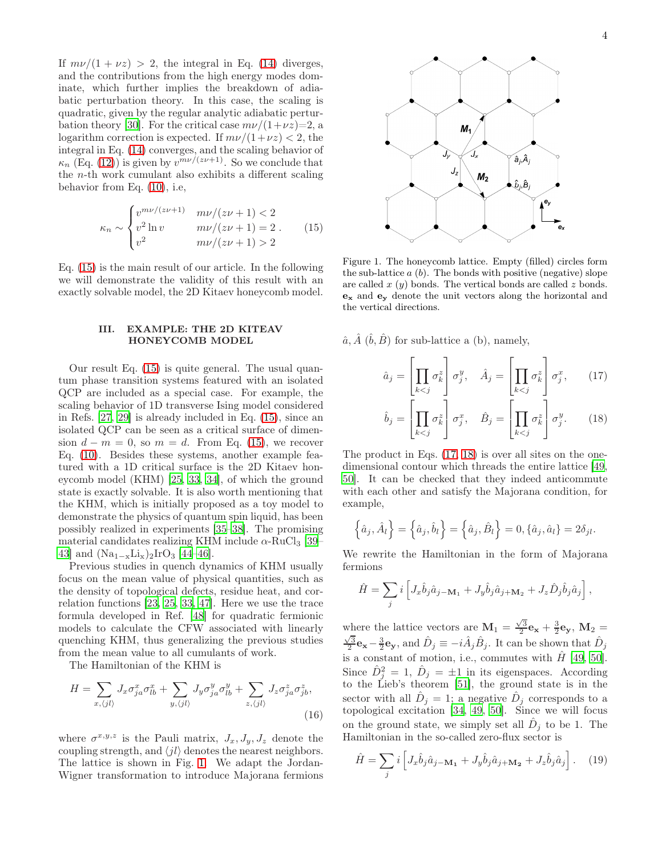If  $m\nu/(1 + \nu z) > 2$ , the integral in Eq. [\(14\)](#page-2-2) diverges, and the contributions from the high energy modes dominate, which further implies the breakdown of adiabatic perturbation theory. In this case, the scaling is quadratic, given by the regular analytic adiabatic pertur-bation theory [\[30\]](#page-7-22). For the critical case  $m\nu/(1+\nu z)=2$ , a logarithm correction is expected. If  $m\nu/(1+\nu z) < 2$ , the integral in Eq. [\(14\)](#page-2-2) converges, and the scaling behavior of  $\kappa_n$  (Eq. [\(12\)](#page-2-1)) is given by  $v^{m\nu/(z\nu+1)}$ . So we conclude that the  $n$ -th work cumulant also exhibits a different scaling behavior from Eq. [\(10\)](#page-2-3), i.e,

<span id="page-3-0"></span>
$$
\kappa_n \sim \begin{cases} v^{m\nu/(z\nu+1)} & m\nu/(z\nu+1) < 2\\ v^2 \ln v & m\nu/(z\nu+1) = 2\\ v^2 & m\nu/(z\nu+1) > 2 \end{cases} \tag{15}
$$

Eq. [\(15\)](#page-3-0) is the main result of our article. In the following we will demonstrate the validity of this result with an exactly solvable model, the 2D Kitaev honeycomb model.

#### III. EXAMPLE: THE 2D KITEAV HONEYCOMB MODEL

Our result Eq. [\(15\)](#page-3-0) is quite general. The usual quantum phase transition systems featured with an isolated QCP are included as a special case. For example, the scaling behavior of 1D transverse Ising model considered in Refs. [\[27,](#page-7-18) [29](#page-7-20)] is already included in Eq. [\(15\)](#page-3-0), since an isolated QCP can be seen as a critical surface of dimension  $d - m = 0$ , so  $m = d$ . From Eq. [\(15\)](#page-3-0), we recover Eq. [\(10\)](#page-2-3). Besides these systems, another example featured with a 1D critical surface is the 2D Kitaev honeycomb model (KHM) [\[25](#page-7-16), [33,](#page-8-0) [34](#page-8-1)], of which the ground state is exactly solvable. It is also worth mentioning that the KHM, which is initially proposed as a toy model to demonstrate the physics of quantum spin liquid, has been possibly realized in experiments [\[35](#page-8-2)[–38\]](#page-8-3). The promising material candidates realizing KHM include  $\alpha$ -RuCl<sub>3</sub> [\[39](#page-8-4)– [43\]](#page-8-5) and  $(Na_{1-x}Li_x)_2IrO_3$  [\[44](#page-8-6)[–46\]](#page-8-7).

Previous studies in quench dynamics of KHM usually focus on the mean value of physical quantities, such as the density of topological defects, residue heat, and correlation functions [\[23,](#page-7-14) [25](#page-7-16), [33](#page-8-0), [47](#page-8-8)]. Here we use the trace formula developed in Ref. [\[48\]](#page-8-9) for quadratic fermionic models to calculate the CFW associated with linearly quenching KHM, thus generalizing the previous studies from the mean value to all cumulants of work.

The Hamiltonian of the KHM is

$$
H = \sum_{x,\langle jl\rangle} J_x \sigma_{ja}^x \sigma_{lb}^x + \sum_{y,\langle jl\rangle} J_y \sigma_{ja}^y \sigma_{lb}^y + \sum_{z,\langle jl\rangle} J_z \sigma_{ja}^z \sigma_{jb}^z,
$$
\n(16)

where  $\sigma^{x,y,z}$  is the Pauli matrix,  $J_x, J_y, J_z$  denote the coupling strength, and  $\langle i l \rangle$  denotes the nearest neighbors. The lattice is shown in Fig. [1.](#page-3-1) We adapt the Jordan-Wigner transformation to introduce Majorana fermions



<span id="page-3-1"></span>Figure 1. The honeycomb lattice. Empty (filled) circles form the sub-lattice  $a(b)$ . The bonds with positive (negative) slope are called  $x(y)$  bonds. The vertical bonds are called  $z$  bonds.  $\mathbf{e}_x$  and  $\mathbf{e}_y$  denote the unit vectors along the horizontal and the vertical directions.

 $\hat{a}, \hat{A}$   $(\hat{b}, \hat{B})$  for sub-lattice a (b), namely,

<span id="page-3-2"></span>
$$
\hat{a}_j = \left[ \prod_{k < j} \sigma_k^z \right] \sigma_j^y, \quad \hat{A}_j = \left[ \prod_{k < j} \sigma_k^z \right] \sigma_j^x,\tag{17}
$$

<span id="page-3-3"></span>
$$
\hat{b}_j = \left[ \prod_{k < j} \sigma_k^z \right] \sigma_j^x, \quad \hat{B}_j = \left[ \prod_{k < j} \sigma_k^z \right] \sigma_j^y. \tag{18}
$$

The product in Eqs. [\(17,](#page-3-2) [18\)](#page-3-3) is over all sites on the onedimensional contour which threads the entire lattice [\[49](#page-8-10), [50](#page-8-11)]. It can be checked that they indeed anticommute with each other and satisfy the Majorana condition, for example,

$$
\left\{\hat{a}_j, \hat{A}_l\right\} = \left\{\hat{a}_j, \hat{b}_l\right\} = \left\{\hat{a}_j, \hat{B}_l\right\} = 0, \left\{\hat{a}_j, \hat{a}_l\right\} = 2\delta_{jl}.
$$

We rewrite the Hamiltonian in the form of Majorana fermions

$$
\hat{H} = \sum_j i \left[ J_x \hat{b}_j \hat{a}_{j-M_1} + J_y \hat{b}_j \hat{a}_{j+M_2} + J_z \hat{D}_j \hat{b}_j \hat{a}_j \right],
$$

where the lattice vectors are  $\mathbf{M}_1 = \frac{\sqrt{3}}{2} \mathbf{e_x} + \frac{3}{2} \mathbf{e_y}, \mathbf{M}_2 =$  $\frac{\sqrt{3}}{2}$ **e**<sub>x</sub> –  $\frac{3}{2}$ **e**<sub>y</sub>, and  $\hat{D}_j \equiv -i\hat{A}_j\hat{B}_j$ . It can be shown that  $\hat{D}_j$ is a constant of motion, i.e., commutes with  $\hat{H}$  [\[49](#page-8-10), [50\]](#page-8-11). Since  $\hat{D}_j^2 = 1, \hat{D}_j = \pm 1$  in its eigenspaces. According to the Lieb's theorem [\[51](#page-8-12)], the ground state is in the sector with all  $\hat{D}_j = 1$ ; a negative  $\hat{D}_j$  corresponds to a topological excitation [\[34](#page-8-1), [49](#page-8-10), [50\]](#page-8-11). Since we will focus on the ground state, we simply set all  $\hat{D}_j$  to be 1. The Hamiltonian in the so-called zero-flux sector is

$$
\hat{H} = \sum_{j} i \left[ J_x \hat{b}_j \hat{a}_{j-M_1} + J_y \hat{b}_j \hat{a}_{j+M_2} + J_z \hat{b}_j \hat{a}_j \right]. \tag{19}
$$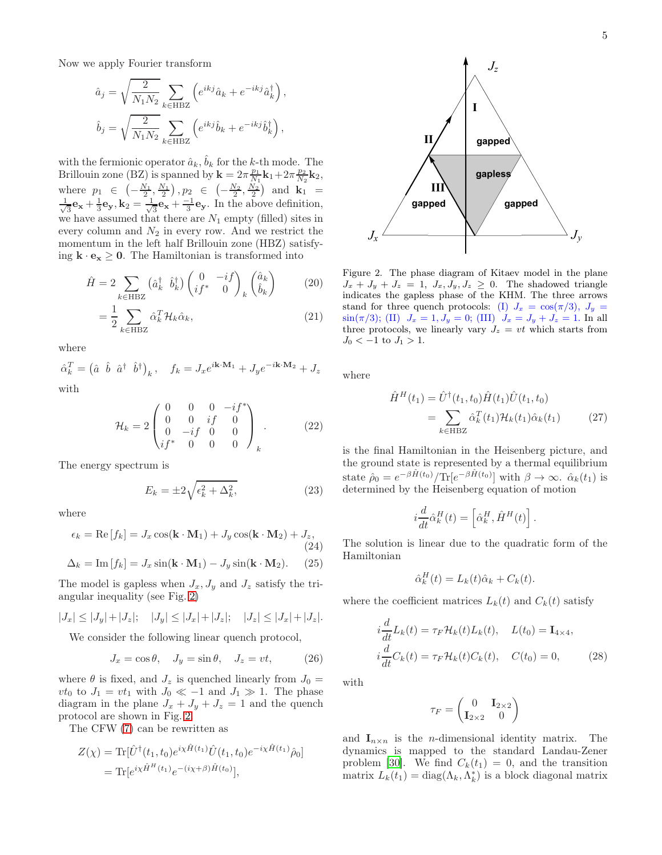Now we apply Fourier transform

$$
\hat{a}_j = \sqrt{\frac{2}{N_1 N_2}} \sum_{k \in \text{HBZ}} \left( e^{ikj} \hat{a}_k + e^{-ikj} \hat{a}_k^{\dagger} \right),
$$

$$
\hat{b}_j = \sqrt{\frac{2}{N_1 N_2}} \sum_{k \in \text{HBZ}} \left( e^{ikj} \hat{b}_k + e^{-ikj} \hat{b}_k^{\dagger} \right),
$$

with the fermionic operator  $\hat{a}_k$ ,  $\hat{b}_k$  for the k-th mode. The Brillouin zone (BZ) is spanned by  $\mathbf{k} = 2\pi \frac{p_1}{N_1} \mathbf{k}_1 + 2\pi \frac{p_2}{N_2} \mathbf{k}_2$ , where  $p_1 \in \left(-\frac{N_1}{2}, \frac{N_1}{2}\right), p_2 \in \left(-\frac{N_2}{2}, \frac{N_2}{2}\right)$  and  $\mathbf{k}_1 =$ √ 1  $\frac{1}{3}\mathbf{e}_{\mathbf{x}} + \frac{1}{3}\mathbf{e}_{\mathbf{y}}, \mathbf{k}_2 = \frac{1}{\sqrt{2}}$  $\frac{1}{3}\mathbf{e}_{\mathbf{x}} + \frac{-1}{3}\mathbf{e}_{\mathbf{y}}$ . In the above definition, we have assumed that there are  $N_1$  empty (filled) sites in every column and  $N_2$  in every row. And we restrict the momentum in the left half Brillouin zone (HBZ) satisfying  $\mathbf{k} \cdot \mathbf{e_x} \geq 0$ . The Hamiltonian is transformed into

$$
\hat{H} = 2 \sum_{k \in \text{HBZ}} \left( \hat{a}_k^\dagger \quad \hat{b}_k^\dagger \right) \begin{pmatrix} 0 & -if \\ if^* & 0 \end{pmatrix}_k \begin{pmatrix} \hat{a}_k \\ \hat{b}_k \end{pmatrix} \tag{20}
$$

$$
=\frac{1}{2}\sum_{k\in\text{HBZ}}\hat{\alpha}_k^T\mathcal{H}_k\hat{\alpha}_k,\tag{21}
$$

where

$$
\hat{\alpha}_k^T = \begin{pmatrix} \hat{a} & \hat{b} & \hat{a}^\dagger & \hat{b}^\dagger \end{pmatrix}_k, \quad f_k = J_x e^{i\mathbf{k}\cdot\mathbf{M}_1} + J_y e^{-i\mathbf{k}\cdot\mathbf{M}_2} + J_z
$$
 with

with

$$
\mathcal{H}_k = 2 \begin{pmatrix} 0 & 0 & 0 & -if^* \\ 0 & 0 & if & 0 \\ 0 & -if & 0 & 0 \\ if^* & 0 & 0 & 0 \end{pmatrix}_k.
$$
 (22)

The energy spectrum is

$$
E_k = \pm 2\sqrt{\epsilon_k^2 + \Delta_k^2},\tag{23}
$$

where

$$
\epsilon_k = \text{Re}[f_k] = J_x \cos(\mathbf{k} \cdot \mathbf{M}_1) + J_y \cos(\mathbf{k} \cdot \mathbf{M}_2) + J_z,
$$
  
(24)  

$$
\Delta_k = \text{Im}[f_k] = J_x \sin(\mathbf{k} \cdot \mathbf{M}_1) - J_y \sin(\mathbf{k} \cdot \mathbf{M}_2).
$$
 (25)

The model is gapless when  $J_x, J_y$  and  $J_z$  satisfy the triangular inequality (see Fig. [2\)](#page-4-0)

$$
|J_x| \le |J_y| + |J_z|; \quad |J_y| \le |J_x| + |J_z|; \quad |J_z| \le |J_x| + |J_z|.
$$

We consider the following linear quench protocol,

$$
J_x = \cos \theta, \quad J_y = \sin \theta, \quad J_z = vt,\tag{26}
$$

where  $\theta$  is fixed, and  $J_z$  is quenched linearly from  $J_0 =$  $vt_0$  to  $J_1 = vt_1$  with  $J_0 \ll -1$  and  $J_1 \gg 1$ . The phase diagram in the plane  $J_x + J_y + J_z = 1$  and the quench protocol are shown in Fig. [2.](#page-4-0)

The CFW [\(7\)](#page-2-4) can be rewritten as

$$
Z(\chi) = \text{Tr}[\hat{U}^{\dagger}(t_1, t_0)e^{i\chi \hat{H}(t_1)} \hat{U}(t_1, t_0)e^{-i\chi \hat{H}(t_1)} \hat{\rho}_0]
$$
  
= 
$$
\text{Tr}[e^{i\chi \hat{H}^H(t_1)} e^{-(i\chi + \beta)\hat{H}(t_0)}],
$$



<span id="page-4-0"></span>Figure 2. The phase diagram of Kitaev model in the plane  $J_x + J_y + J_z = 1$ ,  $J_x, J_y, J_z \geq 0$ . The shadowed triangle indicates the gapless phase of the KHM. The three arrows stand for three quench protocols: (I)  $J_x = \cos(\pi/3), J_y =$  $\sin(\pi/3)$ ; (II)  $J_x = 1, J_y = 0$ ; (III)  $J_x = J_y + J_z = 1$ . In all three protocols, we linearly vary  $J_z = vt$  which starts from  $J_0 < -1$  to  $J_1 > 1$ .

where

$$
\hat{H}^{H}(t_{1}) = \hat{U}^{\dagger}(t_{1}, t_{0}) \hat{H}(t_{1}) \hat{U}(t_{1}, t_{0})
$$
\n
$$
= \sum_{k \in \text{HBZ}} \hat{\alpha}_{k}^{T}(t_{1}) \mathcal{H}_{k}(t_{1}) \hat{\alpha}_{k}(t_{1}) \qquad (27)
$$

is the final Hamiltonian in the Heisenberg picture, and the ground state is represented by a thermal equilibrium state  $\hat{\rho}_0 = e^{-\beta \hat{H}(t_0)} / \text{Tr}[e^{-\beta \hat{H}(t_0)}]$  with  $\beta \to \infty$ .  $\hat{\alpha}_k(t_1)$  is determined by the Heisenberg equation of motion

<span id="page-4-1"></span>
$$
i\frac{d}{dt}\hat{\alpha}_k^H(t) = \left[\hat{\alpha}_k^H, \hat{H}^H(t)\right].
$$

The solution is linear due to the quadratic form of the Hamiltonian

$$
\hat{\alpha}_k^H(t) = L_k(t)\hat{\alpha}_k + C_k(t).
$$

where the coefficient matrices  $L_k(t)$  and  $C_k(t)$  satisfy

$$
i\frac{d}{dt}L_k(t) = \tau_F \mathcal{H}_k(t)L_k(t), \quad L(t_0) = \mathbf{I}_{4\times 4},
$$
  

$$
i\frac{d}{dt}C_k(t) = \tau_F \mathcal{H}_k(t)C_k(t), \quad C(t_0) = 0,
$$
 (28)

with

<span id="page-4-2"></span>
$$
\tau_F = \begin{pmatrix} 0 & \mathbf{I}_{2\times 2} \\ \mathbf{I}_{2\times 2} & 0 \end{pmatrix}
$$

and  $\mathbf{I}_{n \times n}$  is the *n*-dimensional identity matrix. The dynamics is mapped to the standard Landau-Zener problem [\[30\]](#page-7-22). We find  $C_k(t_1) = 0$ , and the transition matrix  $L_k(t_1) = \text{diag}(\Lambda_k, \Lambda_k^*)$  is a block diagonal matrix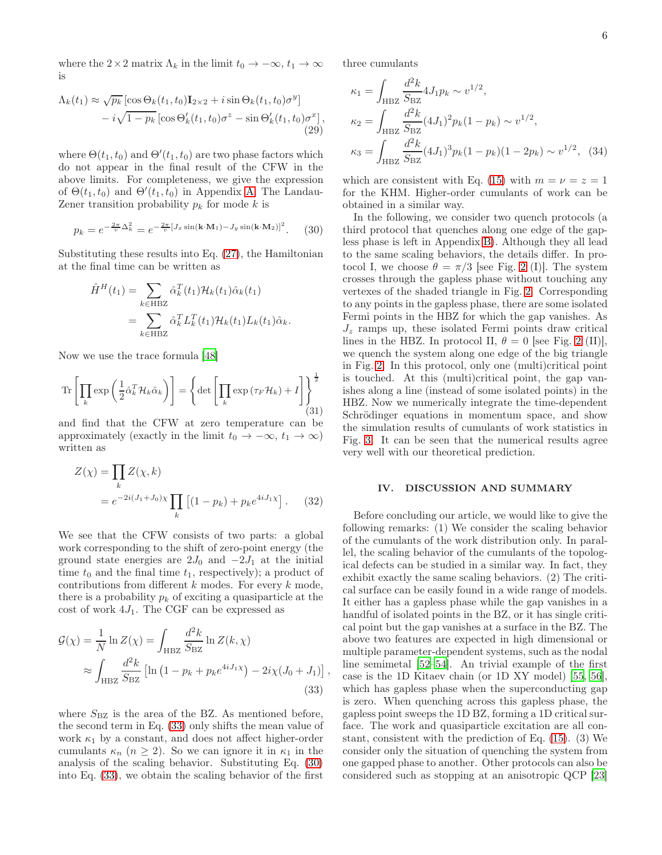where the  $2 \times 2$  matrix  $\Lambda_k$  in the limit  $t_0 \to -\infty$ ,  $t_1 \to \infty$ is

$$
\Lambda_k(t_1) \approx \sqrt{p_k} \left[ \cos \Theta_k(t_1, t_0) \mathbf{I}_{2 \times 2} + i \sin \Theta_k(t_1, t_0) \sigma^y \right] \n- i \sqrt{1 - p_k} \left[ \cos \Theta'_k(t_1, t_0) \sigma^z - \sin \Theta'_k(t_1, t_0) \sigma^x \right],
$$
\n(29)

where  $\Theta(t_1, t_0)$  and  $\Theta'(t_1, t_0)$  are two phase factors which do not appear in the final result of the CFW in the above limits. For completeness, we give the expression of  $\Theta(t_1, t_0)$  and  $\Theta'(t_1, t_0)$  in Appendix [A.](#page-6-0) The Landau-Zener transition probability  $p_k$  for mode k is

<span id="page-5-1"></span>
$$
p_k = e^{-\frac{2\pi}{v}\Delta_k^2} = e^{-\frac{2\pi}{v}[J_x \sin(\mathbf{k} \cdot \mathbf{M}_1) - J_y \sin(\mathbf{k} \cdot \mathbf{M}_2)]^2}.
$$
 (30)

Substituting these results into Eq. [\(27\)](#page-4-1), the Hamiltonian at the final time can be written as

$$
\hat{H}^{H}(t_{1}) = \sum_{k \in \text{HBZ}} \hat{\alpha}_{k}^{T}(t_{1}) \mathcal{H}_{k}(t_{1}) \hat{\alpha}_{k}(t_{1})
$$
\n
$$
= \sum_{k \in \text{HBZ}} \hat{\alpha}_{k}^{T} L_{k}^{T}(t_{1}) \mathcal{H}_{k}(t_{1}) L_{k}(t_{1}) \hat{\alpha}_{k}.
$$

Now we use the trace formula [\[48](#page-8-9)]

$$
\operatorname{Tr}\left[\prod_{k} \exp\left(\frac{1}{2}\hat{\alpha}_{k}^{T} \mathcal{H}_{k} \hat{\alpha}_{k}\right)\right] = \left\{\operatorname{det}\left[\prod_{k} \exp\left(\tau_{F} \mathcal{H}_{k}\right) + I\right]\right\}_{\tag{31}
$$

and find that the CFW at zero temperature can be approximately (exactly in the limit  $t_0 \to -\infty$ ,  $t_1 \to \infty$ ) written as

$$
Z(\chi) = \prod_{k} Z(\chi, k)
$$
  
=  $e^{-2i(J_1 + J_0)\chi} \prod_{k} \left[ (1 - p_k) + p_k e^{4iJ_1\chi} \right].$  (32)

We see that the CFW consists of two parts: a global work corresponding to the shift of zero-point energy (the ground state energies are  $2J_0$  and  $-2J_1$  at the initial time  $t_0$  and the final time  $t_1$ , respectively); a product of contributions from different  $k$  modes. For every  $k$  mode, there is a probability  $p_k$  of exciting a quasiparticle at the cost of work  $4J_1$ . The CGF can be expressed as

$$
\mathcal{G}(\chi) = \frac{1}{N} \ln Z(\chi) = \int_{\text{HBZ}} \frac{d^2 k}{S_{\text{BZ}}} \ln Z(k, \chi)
$$
  

$$
\approx \int_{\text{HBZ}} \frac{d^2 k}{S_{\text{BZ}}} \left[ \ln \left( 1 - p_k + p_k e^{4iJ_1 \chi} \right) - 2i\chi (J_0 + J_1) \right],
$$
(33)

where  $S_{\text{BZ}}$  is the area of the BZ. As mentioned before, the second term in Eq. [\(33\)](#page-5-0) only shifts the mean value of work  $\kappa_1$  by a constant, and does not affect higher-order cumulants  $\kappa_n$   $(n \geq 2)$ . So we can ignore it in  $\kappa_1$  in the analysis of the scaling behavior. Substituting Eq. [\(30\)](#page-5-1) into Eq. [\(33\)](#page-5-0), we obtain the scaling behavior of the first

three cumulants

<span id="page-5-2"></span>
$$
\kappa_1 = \int_{\text{H}BZ} \frac{d^2 k}{S_{\text{B}Z}} 4J_1 p_k \sim v^{1/2},
$$
  
\n
$$
\kappa_2 = \int_{\text{H}BZ} \frac{d^2 k}{S_{\text{B}Z}} (4J_1)^2 p_k (1 - p_k) \sim v^{1/2},
$$
  
\n
$$
\kappa_3 = \int_{\text{H}BZ} \frac{d^2 k}{S_{\text{B}Z}} (4J_1)^3 p_k (1 - p_k) (1 - 2p_k) \sim v^{1/2},
$$
 (34)

which are consistent with Eq. [\(15\)](#page-3-0) with  $m = \nu = z = 1$ for the KHM. Higher-order cumulants of work can be obtained in a similar way.

In the following, we consider two quench protocols (a third protocol that quenches along one edge of the gapless phase is left in Appendix [B\)](#page-7-25). Although they all lead to the same scaling behaviors, the details differ. In protocol I, we choose  $\theta = \pi/3$  [see Fig. [2](#page-4-0) (I)]. The system crosses through the gapless phase without touching any vertexes of the shaded triangle in Fig. [2.](#page-4-0) Corresponding to any points in the gapless phase, there are some isolated Fermi points in the HBZ for which the gap vanishes. As  $J_z$  ramps up, these isolated Fermi points draw critical lines in the HBZ. In protocol II,  $\theta = 0$  [see Fig. [2](#page-4-0) (II)], we quench the system along one edge of the big triangle in Fig. [2.](#page-4-0) In this protocol, only one (multi)critical point is touched. At this (multi)critical point, the gap vanishes along a line (instead of some isolated points) in the HBZ. Now we numerically integrate the time-dependent Schrödinger equations in momentum space, and show the simulation results of cumulants of work statistics in Fig. [3.](#page-6-1) It can be seen that the numerical results agree very well with our theoretical prediction.

### IV. DISCUSSION AND SUMMARY

<span id="page-5-0"></span>Before concluding our article, we would like to give the following remarks: (1) We consider the scaling behavior of the cumulants of the work distribution only. In parallel, the scaling behavior of the cumulants of the topological defects can be studied in a similar way. In fact, they exhibit exactly the same scaling behaviors. (2) The critical surface can be easily found in a wide range of models. It either has a gapless phase while the gap vanishes in a handful of isolated points in the BZ, or it has single critical point but the gap vanishes at a surface in the BZ. The above two features are expected in high dimensional or multiple parameter-dependent systems, such as the nodal line semimetal [\[52](#page-8-13)[–54\]](#page-8-14). An trivial example of the first case is the 1D Kitaev chain (or 1D XY model) [\[55](#page-8-15), [56\]](#page-8-16), which has gapless phase when the superconducting gap is zero. When quenching across this gapless phase, the gapless point sweeps the 1D BZ, forming a 1D critical surface. The work and quasiparticle excitation are all constant, consistent with the prediction of Eq. [\(15\)](#page-3-0). (3) We consider only the situation of quenching the system from one gapped phase to another. Other protocols can also be considered such as stopping at an anisotropic QCP [\[23](#page-7-14)]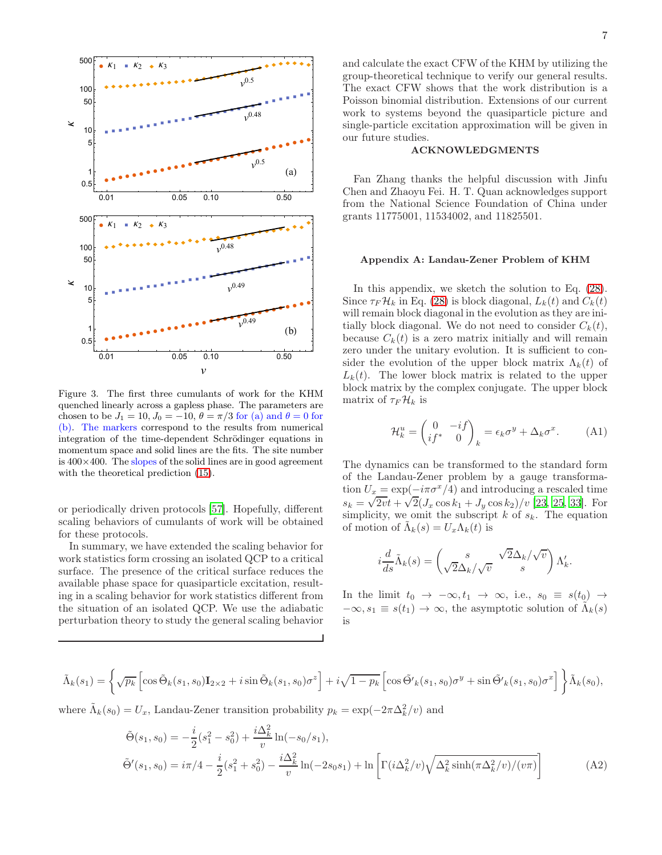

<span id="page-6-1"></span>Figure 3. The first three cumulants of work for the KHM quenched linearly across a gapless phase. The parameters are chosen to be  $J_1 = 10$ ,  $J_0 = -10$ ,  $\theta = \pi/3$  for (a) and  $\theta = 0$  for (b). The markers correspond to the results from numerical integration of the time-dependent Schrödinger equations in momentum space and solid lines are the fits. The site number is  $400\times400$ . The slopes of the solid lines are in good agreement with the theoretical prediction [\(15\)](#page-3-0).

or periodically driven protocols [\[57\]](#page-8-17). Hopefully, different scaling behaviors of cumulants of work will be obtained for these protocols.

In summary, we have extended the scaling behavior for work statistics form crossing an isolated QCP to a critical surface. The presence of the critical surface reduces the available phase space for quasiparticle excitation, resulting in a scaling behavior for work statistics different from the situation of an isolated QCP. We use the adiabatic perturbation theory to study the general scaling behavior

and calculate the exact CFW of the KHM by utilizing the group-theoretical technique to verify our general results. The exact CFW shows that the work distribution is a Poisson binomial distribution. Extensions of our current work to systems beyond the quasiparticle picture and single-particle excitation approximation will be given in our future studies.

#### ACKNOWLEDGMENTS

Fan Zhang thanks the helpful discussion with Jinfu Chen and Zhaoyu Fei. H. T. Quan acknowledges support from the National Science Foundation of China under grants 11775001, 11534002, and 11825501.

### <span id="page-6-0"></span>Appendix A: Landau-Zener Problem of KHM

In this appendix, we sketch the solution to Eq. [\(28\)](#page-4-2). Since  $\tau_F \mathcal{H}_k$  in Eq. [\(28\)](#page-4-2) is block diagonal,  $L_k(t)$  and  $C_k(t)$ will remain block diagonal in the evolution as they are initially block diagonal. We do not need to consider  $C_k(t)$ , because  $C_k(t)$  is a zero matrix initially and will remain zero under the unitary evolution. It is sufficient to consider the evolution of the upper block matrix  $\Lambda_k(t)$  of  $L_k(t)$ . The lower block matrix is related to the upper block matrix by the complex conjugate. The upper block matrix of  $\tau_F \mathcal{H}_k$  is

$$
\mathcal{H}_k^u = \begin{pmatrix} 0 & -if \\ if^* & 0 \end{pmatrix}_k = \epsilon_k \sigma^y + \Delta_k \sigma^x.
$$
 (A1)

The dynamics can be transformed to the standard form of the Landau-Zener problem by a gauge transformation  $U_x = \exp(-i\pi\sigma^x/4)$  and introducing a rescaled time  $s_k = \sqrt{2vt} + \sqrt{2}(J_x \cos k_1 + J_y \cos k_2)/v$  [\[23,](#page-7-14) [25,](#page-7-16) [33\]](#page-8-0). For simplicity, we omit the subscript  $k$  of  $s_k$ . The equation of motion of  $\tilde{\Lambda}_k(s) = U_x \Lambda_k(t)$  is

$$
i\frac{d}{ds}\tilde{\Lambda}_k(s)=\begin{pmatrix} s & \sqrt{2}\Delta_k/\sqrt{v}\\ \sqrt{2}\Delta_k/\sqrt{v} & s \end{pmatrix}\Lambda_k'.
$$

<span id="page-6-2"></span>In the limit  $t_0 \rightarrow -\infty, t_1 \rightarrow \infty$ , i.e.,  $s_0 \equiv s(t_0) \rightarrow$  $-\infty, s_1 \equiv s(t_1) \to \infty$ , the asymptotic solution of  $\tilde{\Lambda}_k(s)$ is

$$
\tilde{\Lambda}_k(s_1) = \left\{ \sqrt{p_k} \left[ \cos \tilde{\Theta}_k(s_1, s_0) \mathbf{I}_{2 \times 2} + i \sin \tilde{\Theta}_k(s_1, s_0) \sigma^z \right] + i \sqrt{1 - p_k} \left[ \cos \tilde{\Theta'}_k(s_1, s_0) \sigma^y + \sin \tilde{\Theta'}_k(s_1, s_0) \sigma^x \right] \right\} \tilde{\Lambda}_k(s_0),
$$

where  $\tilde{\Lambda}_k(s_0) = U_x$ , Landau-Zener transition probability  $p_k = \exp(-2\pi \Delta_k^2/v)$  and

$$
\tilde{\Theta}(s_1, s_0) = -\frac{i}{2}(s_1^2 - s_0^2) + \frac{i\Delta_k^2}{v}\ln(-s_0/s_1),
$$
  
\n
$$
\tilde{\Theta}'(s_1, s_0) = i\pi/4 - \frac{i}{2}(s_1^2 + s_0^2) - \frac{i\Delta_k^2}{v}\ln(-2s_0s_1) + \ln\left[\Gamma(i\Delta_k^2/v)\sqrt{\Delta_k^2\sinh(\pi\Delta_k^2/v)/(v\pi)}\right]
$$
\n(A2)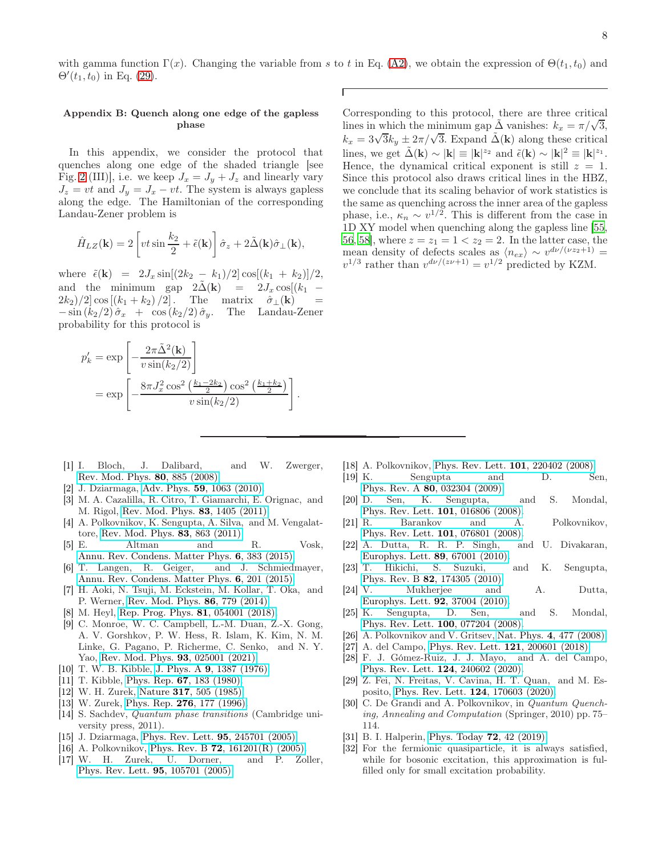with gamma function  $\Gamma(x)$ . Changing the variable from s to t in Eq. [\(A2\)](#page-6-2), we obtain the expression of  $\Theta(t_1, t_0)$  and  $\Theta'(t_1, t_0)$  in Eq. [\(29\)](#page-5-2).

## <span id="page-7-25"></span>Appendix B: Quench along one edge of the gapless phase

In this appendix, we consider the protocol that quenches along one edge of the shaded triangle [see Fig. [2](#page-4-0) (III)], i.e. we keep  $J_x = J_y + J_z$  and linearly vary  $J_z = vt$  and  $J_y = J_x - vt$ . The system is always gapless along the edge. The Hamiltonian of the corresponding Landau-Zener problem is

$$
\hat{H}_{LZ}(\mathbf{k}) = 2 \left[ vt \sin \frac{k_2}{2} + \tilde{\epsilon}(\mathbf{k}) \right] \hat{\sigma}_z + 2 \tilde{\Delta}(\mathbf{k}) \hat{\sigma}_{\perp}(\mathbf{k}),
$$

where  $\tilde{\epsilon}(\mathbf{k}) = 2J_x \sin[(2k_2 - k_1)/2] \cos[(k_1 + k_2)]/2$ ,<br>and the minimum gap  $2\tilde{\Delta}(\mathbf{k}) = 2J_x \cos[(k_1 - k_2)]$ and the minimum gap  $2\Delta(\mathbf{k}) = 2J_x \cos[(k_1 - 2k_2)/2] \cos[(k_1 + k_2)/2]$ . The matrix  $\hat{\sigma}_+(\mathbf{k}) =$  $2k_2/2 |\cos [(k_1 + k_2)/2]$ . The matrix  $\hat{\sigma}_\perp(\mathbf{k})$  =<br>-  $\sin (k_2/2) \hat{\sigma}_x$  +  $\cos (k_2/2) \hat{\sigma}_y$ . The Landau-Zener  $-\sin(k_2/2)\hat{\sigma}_x + \cos(k_2/2)\hat{\sigma}_y$ . probability for this protocol is

$$
p'_{k} = \exp\left[-\frac{2\pi\tilde{\Delta}^{2}(\mathbf{k})}{v\sin(k_{2}/2)}\right]
$$
  
= 
$$
\exp\left[-\frac{8\pi J_{x}^{2}\cos^{2}\left(\frac{k_{1}-2k_{2}}{2}\right)\cos^{2}\left(\frac{k_{1}+k_{2}}{2}\right)}{v\sin(k_{2}/2)}\right].
$$

- <span id="page-7-0"></span>[1] I. Bloch, J. Dalibard, and W. Zwerger, [Rev. Mod. Phys.](https://doi.org/10.1103/RevModPhys.80.885) 80, 885 (2008).
- <span id="page-7-2"></span>[2] J. Dziarmaga, Adv. Phys. 59[, 1063 \(2010\).](https://doi.org/10.1080/00018732.2010.514702)
- [3] M. A. Cazalilla, R. Citro, T. Giamarchi, E. Orignac, and M. Rigol, [Rev. Mod. Phys.](https://doi.org/ 10.1103/RevModPhys.83.1405) 83, 1405 (2011).
- <span id="page-7-3"></span>[4] A. Polkovnikov, K. Sengupta, A. Silva, and M. Vengalattore, [Rev. Mod. Phys.](https://doi.org/10.1103/RevModPhys.83.863) 83, 863 (2011).
- [5] E. Altman and R. Vosk, [Annu. Rev. Condens. Matter Phys.](https://doi.org/10.1146/annurev-conmatphys-031214-014701) 6, 383 (2015).
- [6] T. Langen, R. Geiger, and J. Schmiedmayer, [Annu. Rev. Condens. Matter Phys.](https://doi.org/10.1146/annurev-conmatphys-031214-014548) 6, 201 (2015).
- [7] H. Aoki, N. Tsuji, M. Eckstein, M. Kollar, T. Oka, and P. Werner, [Rev. Mod. Phys.](https://doi.org/ 10.1103/RevModPhys.86.779) 86, 779 (2014).
- [8] M. Heyl, [Rep. Prog. Phys.](https://doi.org/10.1088/1361-6633/aaaf9a) 81, 054001 (2018).
- <span id="page-7-1"></span>[9] C. Monroe, W. C. Campbell, L.-M. Duan, Z.-X. Gong, A. V. Gorshkov, P. W. Hess, R. Islam, K. Kim, N. M. Linke, G. Pagano, P. Richerme, C. Senko, and N. Y. Yao, [Rev. Mod. Phys.](https://doi.org/ 10.1103/RevModPhys.93.025001) 93, 025001 (2021).
- <span id="page-7-4"></span>[10] T. W. B. Kibble, J. Phys. A **9**[, 1387 \(1976\).](https://doi.org/10.1088/0305-4470/9/8/029)
- [11] T. Kibble, Phys. Rep. 67[, 183 \(1980\).](https://doi.org/https://doi.org/10.1016/0370-1573(80)90091-5)
- [12] W. H. Zurek, Nature 317[, 505 \(1985\).](https://doi.org/10.1038/317505a0)
- <span id="page-7-5"></span>[13] W. Zurek, Phys. Rep. **276**[, 177 \(1996\).](https://doi.org/https://doi.org/10.1016/S0370-1573(96)00009-9)
- <span id="page-7-6"></span>[14] S. Sachdev, Quantum phase transitions (Cambridge university press, 2011).
- <span id="page-7-7"></span>[15] J. Dziarmaga, [Phys. Rev. Lett.](https://doi.org/10.1103/PhysRevLett.95.245701) 95, 245701 (2005).
- <span id="page-7-21"></span>[16] A. Polkovnikov, Phys. Rev. B 72[, 161201\(R\) \(2005\).](https://doi.org/10.1103/PhysRevB.72.161201)
- <span id="page-7-8"></span>[17] W. H. Zurek, U. Dorner, and P. Zoller, [Phys. Rev. Lett.](https://doi.org/10.1103/PhysRevLett.95.105701) 95, 105701 (2005).

Corresponding to this protocol, there are three critical lines in which the minimum gap  $\tilde{\Delta}$  vanishes:  $k_x = \pi/\sqrt{3}$ ,  $k_x = 3\sqrt{3}k_y \pm 2\pi/\sqrt{3}$ . Expand  $\tilde{\Delta}(\mathbf{k})$  along these critical lines, we get  $\tilde{\Delta}(\mathbf{k}) \sim |\mathbf{k}| \equiv |\mathbf{k}|^{z_2}$  and  $\tilde{\epsilon}(\mathbf{k}) \sim |\mathbf{k}|^2 \equiv |\mathbf{k}|^{z_1}$ . Hence, the dynamical critical exponent is still  $z = 1$ . Since this protocol also draws critical lines in the HBZ, we conclude that its scaling behavior of work statistics is the same as quenching across the inner area of the gapless phase, i.e.,  $\kappa_n \sim v^{1/2}$ . This is different from the case in 1D XY model when quenching along the gapless line [\[55](#page-8-15), [56](#page-8-16), [58](#page-8-18)], where  $z = z_1 = 1 < z_2 = 2$ . In the latter case, the mean density of defects scales as  $\langle n_{ex} \rangle \sim v^{d\nu/(v_{z2}+1)} =$  $v^{1/3}$  rather than  $v^{d\nu/(z\nu+1)} = v^{1/2}$  predicted by KZM.

- <span id="page-7-9"></span>[18] A. Polkovnikov, [Phys. Rev. Lett.](https://doi.org/10.1103/PhysRevLett.101.220402) 101, 220402 (2008).
- <span id="page-7-10"></span>[19] K. Sengupta and D. Phys. Rev. A **80**[, 032304 \(2009\).](https://doi.org/10.1103/PhysRevA.80.032304)<br>D. Sen, K. Sengupta,
- <span id="page-7-11"></span>[20] D. Sen, K. Sengupta, and S. Mondal, [Phys. Rev. Lett.](https://doi.org/10.1103/PhysRevLett.101.016806) 101, 016806 (2008).
- <span id="page-7-12"></span>[21] R. Barankov and A. Polkovnikov, [Phys. Rev. Lett.](https://doi.org/10.1103/PhysRevLett.101.076801) 101, 076801 (2008).
- <span id="page-7-13"></span>[22] A. Dutta, R. R. P. Singh, and U. Divakaran, [Europhys. Lett.](https://doi.org/10.1209/0295-5075/89/67001) 89, 67001 (2010).
- <span id="page-7-14"></span>[23] T. Hikichi, S. Suzuki, and K. Sengupta, Phys. Rev. B 82[, 174305 \(2010\).](https://doi.org/10.1103/PhysRevB.82.174305)
- <span id="page-7-15"></span>[24] V. Mukherjee and A. Dutta, [Europhys. Lett.](https://doi.org/10.1209/0295-5075/92/37004) 92, 37004 (2010).
- <span id="page-7-16"></span>[25] K. Sengupta, D. Sen, and S. Mondal, [Phys. Rev. Lett.](https://doi.org/10.1103/PhysRevLett.100.077204) 100, 077204 (2008).
- <span id="page-7-17"></span>[26] A. Polkovnikov and V. Gritsev, Nat. Phys. 4[, 477 \(2008\).](https://doi.org/10.1038/nphys963)
- <span id="page-7-18"></span>[27] A. del Campo, [Phys. Rev. Lett.](https://doi.org/10.1103/PhysRevLett.121.200601) **121**, 200601 (2018).
- <span id="page-7-19"></span>[28] F. J. Gómez-Ruiz, J. J. Mayo, and A. del Campo, [Phys. Rev. Lett.](https://doi.org/10.1103/PhysRevLett.124.240602) 124, 240602 (2020).
- <span id="page-7-20"></span>[29] Z. Fei, N. Freitas, V. Cavina, H. T. Quan, and M. Esposito, [Phys. Rev. Lett.](https://doi.org/ 10.1103/PhysRevLett.124.170603) 124, 170603 (2020).
- <span id="page-7-22"></span>[30] C. De Grandi and A. Polkovnikov, in Quantum Quenching, Annealing and Computation (Springer, 2010) pp. 75– 114.
- <span id="page-7-23"></span>[31] B. I. Halperin, [Phys. Today](https://doi.org/10.1063/PT.3.4137) **72**, 42 (2019).
- <span id="page-7-24"></span>[32] For the fermionic quasiparticle, it is always satisfied, while for bosonic excitation, this approximation is fulfilled only for small excitation probability.